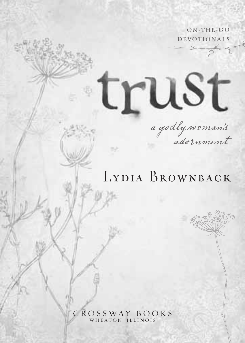**O N - T H E - G O DEVOTIONALS**

trust  $\frac{1}{2}$ 

adornmente

# LYDIA BROWNBACK

CROSSWAY BOOKS WHEATON, ILLINOIS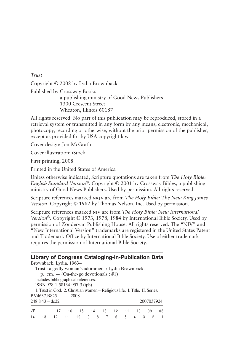*Trust*

Copyright © 2008 by Lydia Brownback

Published by Crossway Books a publishing ministry of Good News Publishers 1300 Crescent Street Wheaton, Illinois 60187

All rights reserved. No part of this publication may be reproduced, stored in a retrieval system or transmitted in any form by any means, electronic, mechanical, photocopy, recording or otherwise, without the prior permission of the publisher, except as provided for by USA copyright law.

Cover design: Jon McGrath

Cover illustration: iStock

First printing, 2008

Printed in the United States of America

Unless otherwise indicated, Scripture quotations are taken from *The Holy Bible: English Standard Version*®. Copyright © 2001 by Crossway Bibles, a publishing ministry of Good News Publishers. Used by permission. All rights reserved.

Scripture references marked nkjv are from *The Holy Bible: The New King James Version*. Copyright © 1982 by Thomas Nelson, Inc. Used by permission.

Scripture references marked niv are from *The Holy Bible: New International Version*®. Copyright © 1973, 1978, 1984 by International Bible Society. Used by permission of Zondervan Publishing House. All rights reserved. The "NIV" and "New International Version" trademarks are registered in the United States Patent and Trademark Office by International Bible Society. Use of either trademark requires the permission of International Bible Society.

| Library of Congress Cataloging-in-Publication Data |                                                      |                                                                           |    |    |   |     |                |   |   |    |   |    |    |  |
|----------------------------------------------------|------------------------------------------------------|---------------------------------------------------------------------------|----|----|---|-----|----------------|---|---|----|---|----|----|--|
|                                                    | Brownback, Lydia, 1963-                              |                                                                           |    |    |   |     |                |   |   |    |   |    |    |  |
|                                                    | Trust : a godly woman's adornment / Lydia Brownback. |                                                                           |    |    |   |     |                |   |   |    |   |    |    |  |
|                                                    | p. cm. $-$ (On-the-go devotionals; #1)               |                                                                           |    |    |   |     |                |   |   |    |   |    |    |  |
|                                                    | Includes bibliographical references.                 |                                                                           |    |    |   |     |                |   |   |    |   |    |    |  |
|                                                    | ISBN 978-1-58134-957-3 (tpb)                         |                                                                           |    |    |   |     |                |   |   |    |   |    |    |  |
|                                                    |                                                      | 1. Trust in God. 2. Christian women-Religious life. I. Title. II. Series. |    |    |   |     |                |   |   |    |   |    |    |  |
| BV4637.B825<br>2008                                |                                                      |                                                                           |    |    |   |     |                |   |   |    |   |    |    |  |
| $248.8'43 - dc22$<br>2007037924                    |                                                      |                                                                           |    |    |   |     |                |   |   |    |   |    |    |  |
| <b>VP</b>                                          |                                                      | 17                                                                        | 16 | 15 |   |     | 14 13 12 11    |   |   | 10 |   | 09 | 08 |  |
| 14                                                 | 13                                                   | 12                                                                        | 11 | 10 | 9 | - 8 | $\overline{7}$ | 6 | 5 | 4  | 3 |    |    |  |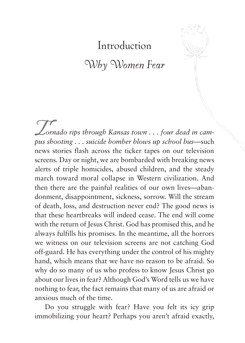## Introduction

## *Why Women Fear*

Lornado rips through Kansas town . . . four dead in cam-<br>pus shooting . . . suicide bomber blows up school bus—such<br>news stories flash across the ticker tapes on our television *pus shooting . . . suicide bomber blows up school bus*—such screens. Day or night, we are bombarded with breaking news alerts of triple homicides, abused children, and the steady march toward moral collapse in Western civilization. And then there are the painful realities of our own lives—abandonment, disappointment, sickness, sorrow. Will the stream of death, loss, and destruction never end? The good news is that these heartbreaks will indeed cease. The end will come with the return of Jesus Christ. God has promised this, and he always fulfills his promises. In the meantime, all the horrors we witness on our television screens are not catching God off-guard. He has everything under the control of his mighty hand, which means that we have no reason to be afraid. So why do so many of us who profess to know Jesus Christ go about our lives in fear? Although God's Word tells us we have nothing to fear, the fact remains that many of us are afraid or anxious much of the time.

Do you struggle with fear? Have you felt its icy grip immobilizing your heart? Perhaps you aren't afraid exactly,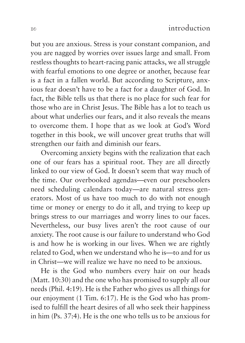but you are anxious. Stress is your constant companion, and you are nagged by worries over issues large and small. From restless thoughts to heart-racing panic attacks, we all struggle with fearful emotions to one degree or another, because fear is a fact in a fallen world. But according to Scripture, anxious fear doesn't have to be a fact for a daughter of God. In fact, the Bible tells us that there is no place for such fear for those who are in Christ Jesus. The Bible has a lot to teach us about what underlies our fears, and it also reveals the means to overcome them. I hope that as we look at God's Word together in this book, we will uncover great truths that will strengthen our faith and diminish our fears.

Overcoming anxiety begins with the realization that each one of our fears has a spiritual root. They are all directly linked to our view of God. It doesn't seem that way much of the time. Our overbooked agendas—even our preschoolers need scheduling calendars today—are natural stress generators. Most of us have too much to do with not enough time or money or energy to do it all, and trying to keep up brings stress to our marriages and worry lines to our faces. Nevertheless, our busy lives aren't the root cause of our anxiety. The root cause is our failure to understand who God is and how he is working in our lives. When we are rightly related to God, when we understand who he is—to and for us in Christ—we will realize we have no need to be anxious.

He is the God who numbers every hair on our heads (Matt. 10:30) and the one who has promised to supply all our needs (Phil. 4:19). He is the Father who gives us all things for our enjoyment (1 Tim. 6:17). He is the God who has promised to fulfill the heart desires of all who seek their happiness in him (Ps. 37:4). He is the one who tells us to be anxious for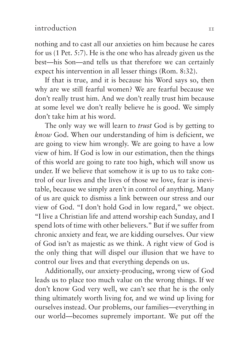nothing and to cast all our anxieties on him because he cares for us (1 Pet. 5:7). He is the one who has already given us the best—his Son—and tells us that therefore we can certainly expect his intervention in all lesser things (Rom. 8:32).

If that is true, and it is because his Word says so, then why are we still fearful women? We are fearful because we don't really trust him. And we don't really trust him because at some level we don't really believe he is good. We simply don't take him at his word.

The only way we will learn to *trust* God is by getting to *know* God. When our understanding of him is deficient, we are going to view him wrongly. We are going to have a low view of him. If God is low in our estimation, then the things of this world are going to rate too high, which will snow us under. If we believe that somehow it is up to us to take control of our lives and the lives of those we love, fear is inevitable, because we simply aren't in control of anything. Many of us are quick to dismiss a link between our stress and our view of God. "I don't hold God in low regard," we object. "I live a Christian life and attend worship each Sunday, and I spend lots of time with other believers." But if we suffer from chronic anxiety and fear, we are kidding ourselves. Our view of God isn't as majestic as we think. A right view of God is the only thing that will dispel our illusion that we have to control our lives and that everything depends on us.

Additionally, our anxiety-producing, wrong view of God leads us to place too much value on the wrong things. If we don't know God very well, we can't see that he is the only thing ultimately worth living for, and we wind up living for ourselves instead. Our problems, our families—everything in our world—becomes supremely important. We put off the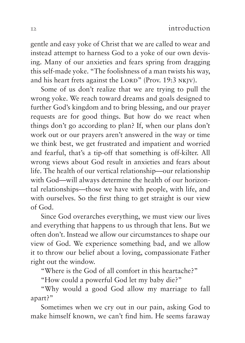gentle and easy yoke of Christ that we are called to wear and instead attempt to harness God to a yoke of our own devising. Many of our anxieties and fears spring from dragging this self-made yoke. "The foolishness of a man twists his way, and his heart frets against the LORD" (Prov. 19:3 NKJV).

Some of us don't realize that we are trying to pull the wrong yoke. We reach toward dreams and goals designed to further God's kingdom and to bring blessing, and our prayer requests are for good things. But how do we react when things don't go according to plan? If, when our plans don't work out or our prayers aren't answered in the way or time we think best, we get frustrated and impatient and worried and fearful, that's a tip-off that something is off-kilter. All wrong views about God result in anxieties and fears about life. The health of our vertical relationship—our relationship with God—will always determine the health of our horizontal relationships—those we have with people, with life, and with ourselves. So the first thing to get straight is our view of God.

Since God overarches everything, we must view our lives and everything that happens to us through that lens. But we often don't. Instead we allow our circumstances to shape our view of God. We experience something bad, and we allow it to throw our belief about a loving, compassionate Father right out the window.

"Where is the God of all comfort in this heartache?"

"How could a powerful God let my baby die?"

"Why would a good God allow my marriage to fall apart?"

Sometimes when we cry out in our pain, asking God to make himself known, we can't find him. He seems faraway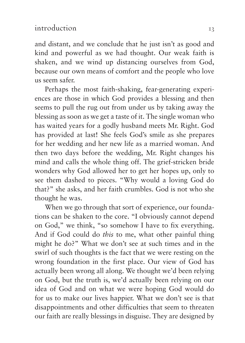and distant, and we conclude that he just isn't as good and kind and powerful as we had thought. Our weak faith is shaken, and we wind up distancing ourselves from God, because our own means of comfort and the people who love us seem safer.

Perhaps the most faith-shaking, fear-generating experiences are those in which God provides a blessing and then seems to pull the rug out from under us by taking away the blessing as soon as we get a taste of it. The single woman who has waited years for a godly husband meets Mr. Right. God has provided at last! She feels God's smile as she prepares for her wedding and her new life as a married woman. And then two days before the wedding, Mr. Right changes his mind and calls the whole thing off. The grief-stricken bride wonders why God allowed her to get her hopes up, only to see them dashed to pieces. "Why would a loving God do that?" she asks, and her faith crumbles. God is not who she thought he was.

When we go through that sort of experience, our foundations can be shaken to the core. "I obviously cannot depend on God," we think, "so somehow I have to fix everything. And if God could do *this* to me, what other painful thing might he do?" What we don't see at such times and in the swirl of such thoughts is the fact that we were resting on the wrong foundation in the first place. Our view of God has actually been wrong all along. We thought we'd been relying on God, but the truth is, we'd actually been relying on our idea of God and on what we were hoping God would do for us to make our lives happier. What we don't see is that disappointments and other difficulties that seem to threaten our faith are really blessings in disguise. They are designed by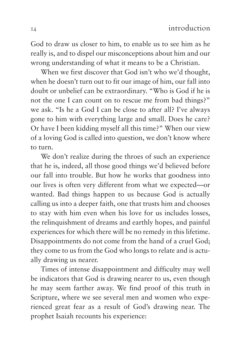God to draw us closer to him, to enable us to see him as he really is, and to dispel our misconceptions about him and our wrong understanding of what it means to be a Christian.

When we first discover that God isn't who we'd thought, when he doesn't turn out to fit our image of him, our fall into doubt or unbelief can be extraordinary. "Who is God if he is not the one I can count on to rescue me from bad things?" we ask. "Is he a God I can be close to after all? I've always gone to him with everything large and small. Does he care? Or have I been kidding myself all this time?" When our view of a loving God is called into question, we don't know where to turn.

We don't realize during the throes of such an experience that he is, indeed, all those good things we'd believed before our fall into trouble. But how he works that goodness into our lives is often very different from what we expected—or wanted. Bad things happen to us because God is actually calling us into a deeper faith, one that trusts him and chooses to stay with him even when his love for us includes losses, the relinquishment of dreams and earthly hopes, and painful experiences for which there will be no remedy in this lifetime. Disappointments do not come from the hand of a cruel God; they come to us from the God who longs to relate and is actually drawing us nearer.

Times of intense disappointment and difficulty may well be indicators that God is drawing nearer to us, even though he may seem farther away. We find proof of this truth in Scripture, where we see several men and women who experienced great fear as a result of God's drawing near. The prophet Isaiah recounts his experience: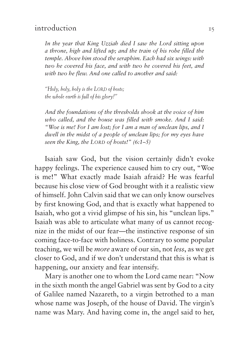### introduction 15

*In the year that King Uzziah died I saw the Lord sitting upon a throne, high and lifted up; and the train of his robe filled the temple. Above him stood the seraphim. Each had six wings: with two he covered his face, and with two he covered his feet, and with two he flew. And one called to another and said:*

*"Holy, holy, holy is the LORD of hosts; the whole earth is full of his glory!"*

*And the foundations of the thresholds shook at the voice of him who called, and the house was filled with smoke. And I said: "Woe is me! For I am lost; for I am a man of unclean lips, and I dwell in the midst of a people of unclean lips; for my eyes have seen the King, the LORD of hosts!" (6:1–5)*

Isaiah saw God, but the vision certainly didn't evoke happy feelings. The experience caused him to cry out, "Woe is me!" What exactly made Isaiah afraid? He was fearful because his close view of God brought with it a realistic view of himself. John Calvin said that we can only know ourselves by first knowing God, and that is exactly what happened to Isaiah, who got a vivid glimpse of his sin, his "unclean lips." Isaiah was able to articulate what many of us cannot recognize in the midst of our fear—the instinctive response of sin coming face-to-face with holiness. Contrary to some popular teaching, we will be *more* aware of our sin, not *less*, as we get closer to God, and if we don't understand that this is what is happening, our anxiety and fear intensify.

Mary is another one to whom the Lord came near: "Now in the sixth month the angel Gabriel was sent by God to a city of Galilee named Nazareth, to a virgin betrothed to a man whose name was Joseph, of the house of David. The virgin's name was Mary. And having come in, the angel said to her,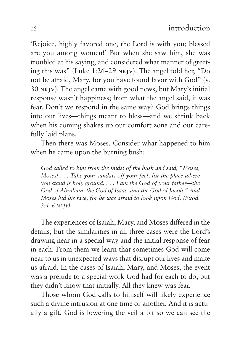'Rejoice, highly favored one, the Lord is with you; blessed are you among women!' But when she saw him, she was troubled at his saying, and considered what manner of greeting this was" (Luke 1:26–29 nkjv). The angel told her, "Do not be afraid, Mary, for you have found favor with God" (v. 30 nkjv). The angel came with good news, but Mary's initial response wasn't happiness; from what the angel said, it was fear. Don't we respond in the same way? God brings things into our lives—things meant to bless—and we shrink back when his coming shakes up our comfort zone and our carefully laid plans.

Then there was Moses. Consider what happened to him when he came upon the burning bush:

*God called to him from the midst of the bush and said, "Moses, Moses! . . . Take your sandals off your feet, for the place where you stand is holy ground. . . . I am the God of your father—the God of Abraham, the God of Isaac, and the God of Jacob." And Moses hid his face, for he was afraid to look upon God. (Exod. 3:4–6 NKJV)*

The experiences of Isaiah, Mary, and Moses differed in the details, but the similarities in all three cases were the Lord's drawing near in a special way and the initial response of fear in each. From them we learn that sometimes God will come near to us in unexpected ways that disrupt our lives and make us afraid. In the cases of Isaiah, Mary, and Moses, the event was a prelude to a special work God had for each to do, but they didn't know that initially. All they knew was fear.

Those whom God calls to himself will likely experience such a divine intrusion at one time or another. And it is actually a gift. God is lowering the veil a bit so we can see the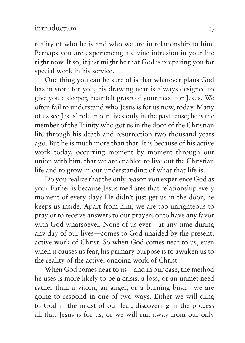reality of who he is and who we are in relationship to him. Perhaps you are experiencing a divine intrusion in your life right now. If so, it just might be that God is preparing you for special work in his service.

One thing you can be sure of is that whatever plans God has in store for you, his drawing near is always designed to give you a deeper, heartfelt grasp of your need for Jesus. We often fail to understand who Jesus is for us now, today. Many of us see Jesus' role in our lives only in the past tense; he is the member of the Trinity who got us in the door of the Christian life through his death and resurrection two thousand years ago. But he is much more than that. It is because of his active work today, occurring moment by moment through our union with him, that we are enabled to live out the Christian life and to grow in our understanding of what that life is.

Do you realize that the only reason you experience God as your Father is because Jesus mediates that relationship every moment of every day? He didn't just get us in the door; he keeps us inside. Apart from him, we are too unrighteous to pray or to receive answers to our prayers or to have any favor with God whatsoever. None of us ever—at any time during any day of our lives—comes to God unaided by the present, active work of Christ. So when God comes near to us, even when it causes us fear, his primary purpose is to awaken us to the reality of the active, ongoing work of Christ.

When God comes near to us—and in our case, the method he uses is more likely to be a crisis, a loss, or an unmet need rather than a vision, an angel, or a burning bush—we are going to respond in one of two ways. Either we will cling to God in the midst of our fear, discovering in the process all that Jesus is for us, or we will run away from our only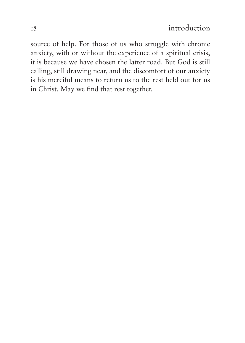source of help. For those of us who struggle with chronic anxiety, with or without the experience of a spiritual crisis, it is because we have chosen the latter road. But God is still calling, still drawing near, and the discomfort of our anxiety is his merciful means to return us to the rest held out for us in Christ. May we find that rest together.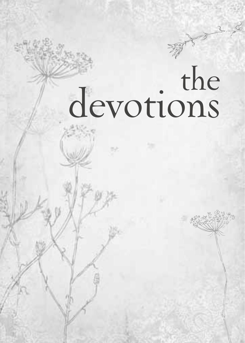# the devotions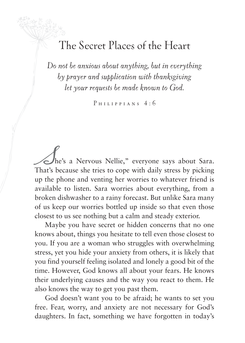## The Secret Places of the Heart

*Do not be anxious about anything, but in everything by prayer and supplication with thanksgiving let your requests be made known to God.*

Philippians 4:6

The's a Nervous Nellie," everyone says about Sara.<br>That's because she tries to cope with daily stress by picking<br>up the phone and venting her worries to whatever friend is That's because she tries to cope with daily stress by picking up the phone and venting her worries to whatever friend is available to listen. Sara worries about everything, from a broken dishwasher to a rainy forecast. But unlike Sara many of us keep our worries bottled up inside so that even those closest to us see nothing but a calm and steady exterior.

Maybe you have secret or hidden concerns that no one knows about, things you hesitate to tell even those closest to you. If you are a woman who struggles with overwhelming stress, yet you hide your anxiety from others, it is likely that you find yourself feeling isolated and lonely a good bit of the time. However, God knows all about your fears. He knows their underlying causes and the way you react to them. He also knows the way to get you past them.

God doesn't want you to be afraid; he wants to set you free. Fear, worry, and anxiety are not necessary for God's daughters. In fact, something we have forgotten in today's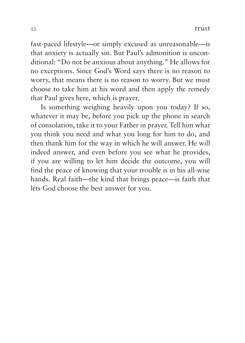fast-paced lifestyle—or simply excused as unreasonable—is that anxiety is actually sin. But Paul's admonition is unconditional: "Do not be anxious about anything." He allows for no exceptions. Since God's Word says there is no reason to worry, that means there is no reason to worry. But we must choose to take him at his word and then apply the remedy that Paul gives here, which is prayer.

Is something weighing heavily upon you today? If so, whatever it may be, before you pick up the phone in search of consolation, take it to your Father in prayer. Tell him what you think you need and what you long for him to do, and then thank him for the way in which he will answer. He will indeed answer, and even before you see what he provides, if you are willing to let him decide the outcome, you will find the peace of knowing that your trouble is in his all-wise hands. Real faith—the kind that brings peace—is faith that lets God choose the best answer for you.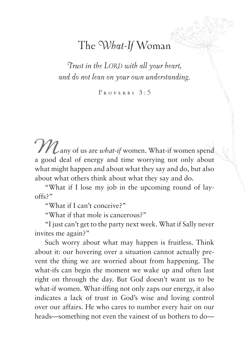## The *What-If* Woman

*Trust in the LORD with all your heart, and do not lean on your own understanding.*

PROVERBS 3.5

**Lany** of us are *what-if* women. What-if women spend a good deal of energy and time worrying not only about what might happen and about what they say and do, but also a good deal of energy and time worrying not only about what might happen and about what they say and do, but also about what others think about what they say and do.

"What if I lose my job in the upcoming round of layoffs?"

"What if I can't conceive?"

"What if that mole is cancerous?"

"I just can't get to the party next week. What if Sally never invites me again?"

Such worry about what may happen is fruitless. Think about it: our hovering over a situation cannot actually prevent the thing we are worried about from happening. The what-ifs can begin the moment we wake up and often last right on through the day. But God doesn't want us to be what-if women. What-iffing not only zaps our energy, it also indicates a lack of trust in God's wise and loving control over our affairs. He who cares to number every hair on our heads—something not even the vainest of us bothers to do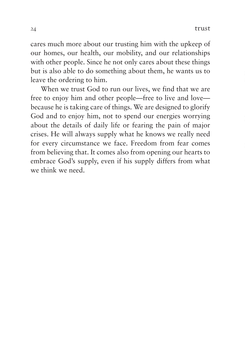cares much more about our trusting him with the upkeep of our homes, our health, our mobility, and our relationships with other people. Since he not only cares about these things but is also able to do something about them, he wants us to leave the ordering to him.

When we trust God to run our lives, we find that we are free to enjoy him and other people—free to live and love because he is taking care of things. We are designed to glorify God and to enjoy him, not to spend our energies worrying about the details of daily life or fearing the pain of major crises. He will always supply what he knows we really need for every circumstance we face. Freedom from fear comes from believing that. It comes also from opening our hearts to embrace God's supply, even if his supply differs from what we think we need.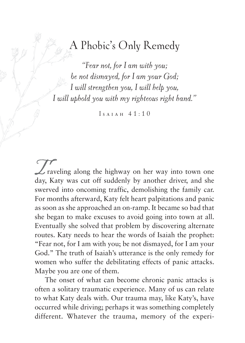## A Phobic's Only Remedy

*"Fear not, for I am with you; be not dismayed, for I am your God; I will strengthen you, I will help you, I will uphold you with my righteous right hand."*

Isaiah 41:10

 $\blacktriangle$  raveling along the highway on her way into town one day, Katy was cut off suddenly by another driver, and she swerved into oncoming traffic, demolishing the family car. day, Katy was cut off suddenly by another driver, and she swerved into oncoming traffic, demolishing the family car. For months afterward, Katy felt heart palpitations and panic as soon as she approached an on-ramp. It became so bad that she began to make excuses to avoid going into town at all. Eventually she solved that problem by discovering alternate routes. Katy needs to hear the words of Isaiah the prophet: "Fear not, for I am with you; be not dismayed, for I am your God." The truth of Isaiah's utterance is the only remedy for women who suffer the debilitating effects of panic attacks. Maybe you are one of them.

The onset of what can become chronic panic attacks is often a solitary traumatic experience. Many of us can relate to what Katy deals with. Our trauma may, like Katy's, have occurred while driving; perhaps it was something completely different. Whatever the trauma, memory of the experi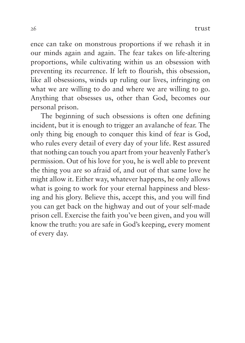ence can take on monstrous proportions if we rehash it in our minds again and again. The fear takes on life-altering proportions, while cultivating within us an obsession with preventing its recurrence. If left to flourish, this obsession, like all obsessions, winds up ruling our lives, infringing on what we are willing to do and where we are willing to go. Anything that obsesses us, other than God, becomes our personal prison.

The beginning of such obsessions is often one defining incident, but it is enough to trigger an avalanche of fear. The only thing big enough to conquer this kind of fear is God, who rules every detail of every day of your life. Rest assured that nothing can touch you apart from your heavenly Father's permission. Out of his love for you, he is well able to prevent the thing you are so afraid of, and out of that same love he might allow it. Either way, whatever happens, he only allows what is going to work for your eternal happiness and blessing and his glory. Believe this, accept this, and you will find you can get back on the highway and out of your self-made prison cell. Exercise the faith you've been given, and you will know the truth: you are safe in God's keeping, every moment of every day.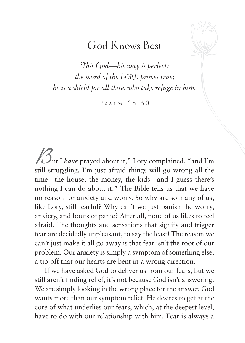## God Knows Best



*This God—his way is perfect; the word of the LORD proves true; he is a shield for all those who take refuge in him.*

 $P_{SALM}$  18:30

**But I have prayed about it,"** Lory complained, "and I'm still struggling. I'm just afraid things will go wrong all the time—the house, the money, the kids—and I guess there's nothing I can do about it." The Bible tells us that we have no reason for anxiety and worry. So why are so many of us, like Lory, still fearful? Why can't we just banish the worry, anxiety, and bouts of panic? After all, none of us likes to feel afraid. The thoughts and sensations that signify and trigger fear are decidedly unpleasant, to say the least! The reason we can't just make it all go away is that fear isn't the root of our problem. Our anxiety is simply a symptom of something else, a tip-off that our hearts are bent in a wrong direction.

If we have asked God to deliver us from our fears, but we still aren't finding relief, it's not because God isn't answering. We are simply looking in the wrong place for the answer. God wants more than our symptom relief. He desires to get at the core of what underlies our fears, which, at the deepest level, have to do with our relationship with him. Fear is always a